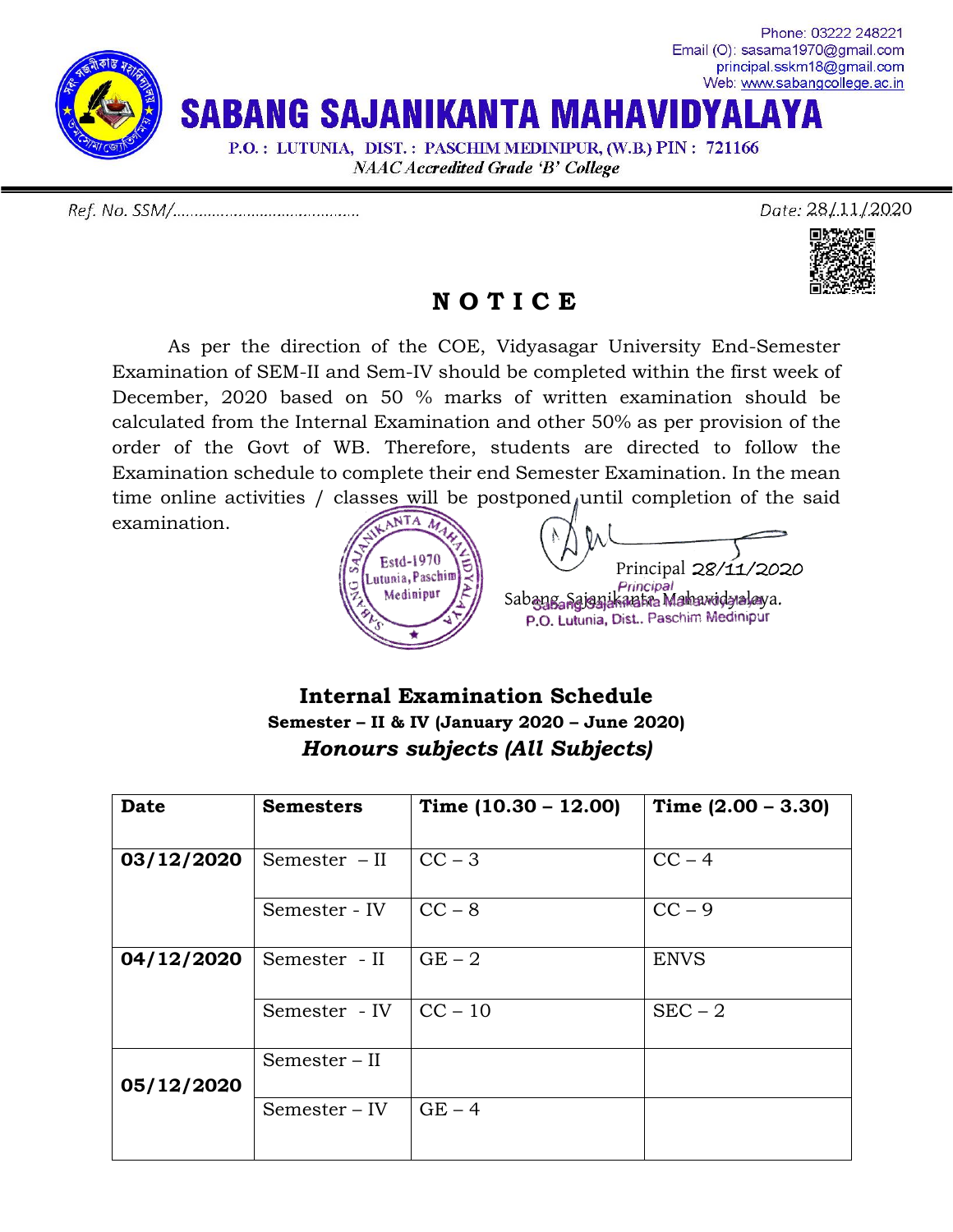

Date: 28/11/2020



## **N O T I C E**

As per the direction of the COE, Vidyasagar University End-Semester Examination of SEM-II and Sem-IV should be completed within the first week of December, 2020 based on 50 % marks of written examination should be calculated from the Internal Examination and other 50% as per provision of the order of the Govt of WB. Therefore, students are directed to follow the Examination schedule to complete their end Semester Examination. In the mean time online activities / classes will be  $postponed<sub>l</sub>$  until completion of the said

examination.



## **Internal Examination Schedule Semester – II & IV (January 2020 – June 2020)** *Honours subjects (All Subjects)*

| <b>Date</b> | <b>Semesters</b> | Time $(10.30 - 12.00)$ | Time $(2.00 - 3.30)$ |
|-------------|------------------|------------------------|----------------------|
| 03/12/2020  | Semester $-II$   | $CC - 3$               | $CC - 4$             |
|             | Semester - IV    | $CC - 8$               | $CC - 9$             |
| 04/12/2020  | Semester - II    | $GE - 2$               | <b>ENVS</b>          |
|             | Semester - IV    | $CC - 10$              | $SEC - 2$            |
| 05/12/2020  | $Semester - II$  |                        |                      |
|             | Semester – IV    | $GE - 4$               |                      |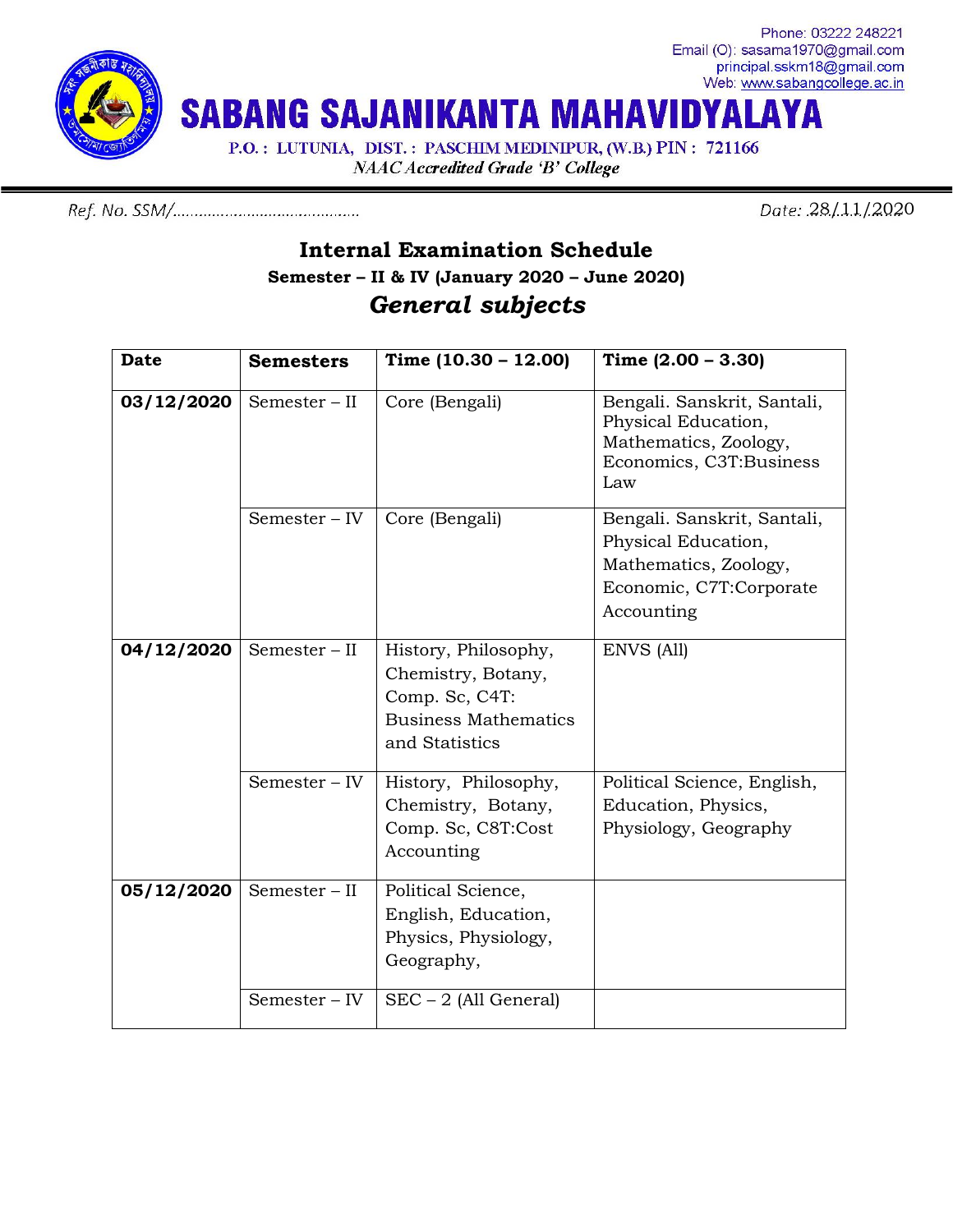

Phone: 03222 248221 Email (O): sasama1970@gmail.com principal.sskm18@gmail.com Web: www.sabangcollege.ac.in

**SABANG SAJANIKANTA MAHAVIDY** AYA

P.O.: LUTUNIA, DIST.: PASCHIM MEDINIPUR, (W.B.) PIN: 721166

**NAAC Accredited Grade 'B' College** 

Date: 28/11/2020

## **Internal Examination Schedule Semester – II & IV (January 2020 – June 2020)** *General subjects*

| <b>Date</b> | <b>Semesters</b> | Time $(10.30 - 12.00)$                                                                                        | Time $(2.00 - 3.30)$                                                                                                 |
|-------------|------------------|---------------------------------------------------------------------------------------------------------------|----------------------------------------------------------------------------------------------------------------------|
| 03/12/2020  | $Semester - II$  | Core (Bengali)                                                                                                | Bengali. Sanskrit, Santali,<br>Physical Education,<br>Mathematics, Zoology,<br>Economics, C3T:Business<br>Law        |
|             | Semester - IV    | Core (Bengali)                                                                                                | Bengali. Sanskrit, Santali,<br>Physical Education,<br>Mathematics, Zoology,<br>Economic, C7T:Corporate<br>Accounting |
| 04/12/2020  | Semester - II    | History, Philosophy,<br>Chemistry, Botany,<br>Comp. Sc, C4T:<br><b>Business Mathematics</b><br>and Statistics | ENVS (All)                                                                                                           |
|             | Semester - IV    | History, Philosophy,<br>Chemistry, Botany,<br>Comp. Sc, C8T:Cost<br>Accounting                                | Political Science, English,<br>Education, Physics,<br>Physiology, Geography                                          |
| 05/12/2020  | Semester - II    | Political Science,<br>English, Education,<br>Physics, Physiology,<br>Geography,                               |                                                                                                                      |
|             | Semester - IV    | $SEC - 2 (All General)$                                                                                       |                                                                                                                      |